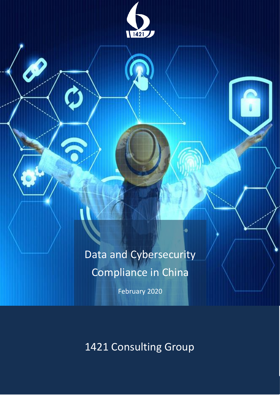

Data and Cybersecurity Compliance in China

February 2020

1421 Consulting Group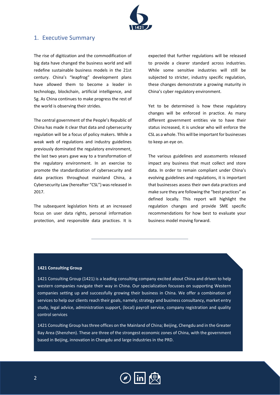

# <span id="page-1-0"></span>1. Executive Summary

The rise of digitization and the commodification of big data have changed the business world and will redefine sustainable business models in the 21st century. China's "leapfrog" development plans have allowed them to become a leader in technology, blockchain, artificial intelligence, and 5g. As China continues to make progress the rest of the world is observing their strides.

The central government of the People's Republic of China has made it clear that data and cybersecurity regulation will be a focus of policy makers. While a weak web of regulations and industry guidelines previously dominated the regulatory environment, the last two years gave way to a transformation of the regulatory environment. In an exercise to promote the standardization of cybersecurity and data practices throughout mainland China, a Cybersecurity Law (hereafter "CSL") was released in 2017.

The subsequent legislation hints at an increased focus on user data rights, personal information protection, and responsible data practices. It is expected that further regulations will be released to provide a clearer standard across industries. While some sensitive industries will still be subjected to stricter, industry specific regulation, these changes demonstrate a growing maturity in China's cyber regulatory environment.

Yet to be determined is how these regulatory changes will be enforced in practice. As many different government entities vie to have their status increased, it is unclear who will enforce the CSL as a whole. This will be important for businesses to keep an eye on.

The various guidelines and assessments released impact any business that must collect and store data. In order to remain compliant under China's evolving guidelines and regulations, it is important that businesses assess their own data practices and make sure they are following the "best practices" as defined locally. This report will highlight the regulation changes and provide SME specific recommendations for how best to evaluate your business model moving forward.

#### **1421 Consulting Group**

1421 Consulting Group (1421) is a leading consulting company excited about China and driven to help western companies navigate their way in China. Our specialization focusses on supporting Western companies setting up and successfully growing their business in China. We offer a combination of services to help our clients reach their goals, namely; strategy and business consultancy, market entry study, legal advice, administration support, (local) payroll service, company registration and quality control services

1421 Consulting Group has three offices on the Mainland of China; Beijing, Chengdu and in the Greater Bay Area (Shenzhen). These are three of the strongest economic zones of China, with the government based in Beijing, innovation in Chengdu and large industries in the PRD.

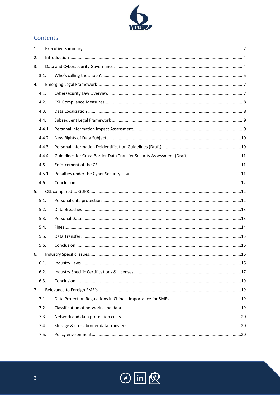

# Contents

| 1. |        |  |  |  |
|----|--------|--|--|--|
| 2. |        |  |  |  |
| 3. |        |  |  |  |
|    | 3.1.   |  |  |  |
| 4. |        |  |  |  |
|    | 4.1.   |  |  |  |
|    | 4.2.   |  |  |  |
|    | 4.3.   |  |  |  |
|    | 4.4.   |  |  |  |
|    | 4.4.1. |  |  |  |
|    | 4.4.2. |  |  |  |
|    | 4.4.3. |  |  |  |
|    | 4.4.4. |  |  |  |
|    | 4.5.   |  |  |  |
|    | 4.5.1. |  |  |  |
|    | 4.6.   |  |  |  |
| 5. |        |  |  |  |
|    | 5.1.   |  |  |  |
|    | 5.2.   |  |  |  |
|    | 5.3.   |  |  |  |
|    | 5.4.   |  |  |  |
|    | 5.5.   |  |  |  |
|    | 5.6.   |  |  |  |
| 6. |        |  |  |  |
|    | 6.1.   |  |  |  |
|    | 6.2.   |  |  |  |
|    | 6.3.   |  |  |  |
| 7. |        |  |  |  |
|    | 7.1.   |  |  |  |
|    | 7.2.   |  |  |  |
|    | 7.3.   |  |  |  |
|    | 7.4.   |  |  |  |
|    | 7.5.   |  |  |  |

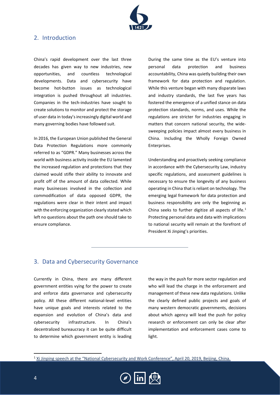

# <span id="page-3-0"></span>2. Introduction

China's rapid development over the last three decades has given way to new industries, new opportunities, and countless technological developments. Data and cybersecurity have become hot-button issues as technological integration is pushed throughout all industries. Companies in the tech-industries have sought to create solutions to monitor and protect the storage of user data in today's increasingly digital world and many governing bodies have followed suit.

In 2016, the European Union published the General Data Protection Regulations more commonly referred to as "GDPR." Many businesses across the world with business activity inside the EU lamented the increased regulation and protections that they claimed would stifle their ability to innovate and profit off of the amount of data collected. While many businesses involved in the collection and commodification of data opposed GDPR, the regulations were clear in their intent and impact with the enforcing organization clearly stated which left no questions about the path one should take to ensure compliance.

During the same time as the EU's venture into personal data protection and business accountability, China was quietly building their own framework for data protection and regulation. While this venture began with many disparate laws and industry standards, the last five years has fostered the emergence of a unified stance on data protection standards, norms, and uses. While the regulations are stricter for industries engaging in matters that concern national security, the widesweeping policies impact almost every business in China. Including the Wholly Foreign Owned Enterprises.

Understanding and proactively seeking compliance in accordance with the Cybersecurity Law, industry specific regulations, and assessment guidelines is necessary to ensure the longevity of any business operating in China that is reliant on technology. The emerging legal framework for data protection and business responsibility are only the beginning as China seeks to further digitize all aspects of life. $1$ Protecting personal data and data with implications to national security will remain at the forefront of President Xi Jinping's priorities.

# <span id="page-3-1"></span>3. Data and Cybersecurity Governance

Currently in China, there are many different government entities vying for the power to create and enforce data governance and cybersecurity policy. All these different national-level entities have unique goals and interests related to the expansion and evolution of China's data and cybersecurity infrastructure. In China's decentralized bureaucracy it can be quite difficult to determine which government entity is leading

the way in the push for more sector regulation and who will lead the charge in the enforcement and management of these new data regulations. Unlike the clearly defined public projects and goals of many western democratic governments, decisions about which agency will lead the push for policy research or enforcement can only be clear after implementation and enforcement cases come to light.

<sup>&</sup>lt;sup>1</sup> [Xi Jinping speech at the "National Cybersecurity and Work Conference", April 20, 2019, Beijing, China.](http://xinhuanet.com/politics/2018-04/21/c_1122719810.htm)

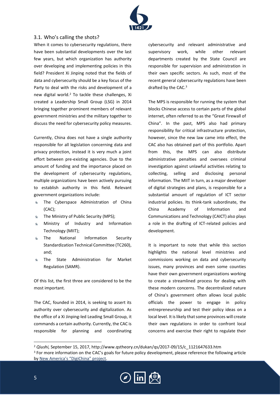

# <span id="page-4-0"></span>3.1. Who's calling the shots?

When it comes to cybersecurity regulations, there have been substantial developments over the last few years, but which organization has authority over developing and implementing policies in this field? President Xi Jinping noted that the fields of data and cybersecurity should be a key focus of the Party to deal with the risks and development of a new digital world.<sup>2</sup> To tackle these challenges, Xi created a Leadership Small Group (LSG) in 2014 bringing together prominent members of relevant government ministries and the military together to discuss the need for cybersecurity policy measures.

Currently, China does not have a single authority responsible for all legislation concerning data and privacy protection, instead it is very much a joint effort between pre-existing agencies. Due to the amount of funding and the importance placed on the development of cybersecurity regulations, multiple organizations have been actively pursuing to establish authority in this field. Relevant government organizations include:

- The Cyberspace Administration of China (CAC);
- **EXECUTE:** The Ministry of Public Security (MPS);
- Ministry of Industry and Information  $\mathbf{Q}$ Technology (MIIT);
- $\mathbf{Q}$ The National Information Security Standardization Technical Committee (TC260), and;
- $6 -$ The State Administration for Market Regulation (SAMR).

Of this list, the first three are considered to be the most important.

The CAC, founded in 2014, is seeking to assert its authority over cybersecurity and digitalization. As the office of a Xi Jinping-led Leading Small Group, it commands a certain authority. Currently, the CAC is responsible for planning and coordinating cybersecurity and relevant administrative and supervisory work, while other relevant departments created by the State Council are responsible for supervision and administration in their own specific sectors. As such, most of the recent general cybersecurity regulations have been drafted by the CAC.<sup>3</sup>

The MPS is responsible for running the system that blocks Chinese access to certain parts of the global internet, often referred to as the "Great Firewall of China". In the past, MPS also had primary responsibility for critical infrastructure protection, however, since the new law came into effect, the CAC also has obtained part of this portfolio. Apart from this, the MPS can also distribute administrative penalties and oversees criminal investigation against unlawful activities relating to collecting, selling and disclosing personal information. The MIIT in turn, as a major developer of digital strategies and plans, is responsible for a substantial amount of regulation of ICT sector industrial policies. Its think-tank subordinate, the China Academy of Information and Communications and Technology (CAICT) also plays a role in the drafting of ICT-related policies and development.

It is important to note that while this section highlights the national level ministries and commissions working on data and cybersecurity issues, many provinces and even some counties have their own government organizations working to create a streamlined process for dealing with these modern concerns. The decentralized nature of China's government often allows local public officials the power to engage in policy entrepreneurship and test their policy ideas on a local level. It is likely that some provinces will create their own regulations in order to confront local concerns and exercise their right to regulate their

<sup>2</sup> *Qiushi,* September 15, 2017, http://www.qstheory.cn/dukan/qs/2017-09/15/c\_1121647633.htm <sup>3</sup> For more information on the CAC's goals for future policy development, please reference the following article by New A[merica's "DigiChina" project](https://www.newamerica.org/cybersecurity-initiative/blog/chinas-strategic-thinking-building-power-cyberspace/).

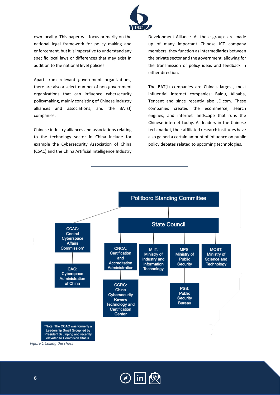

own locality. This paper will focus primarily on the national legal framework for policy making and enforcement, but it is imperative to understand any specific local laws or differences that may exist in addition to the national level policies.

Apart from relevant government organizations, there are also a select number of non-government organizations that can influence cybersecurity policymaking, mainly consisting of Chinese industry alliances and associations, and the BAT(J) companies.

Chinese industry alliances and associations relating to the technology sector in China include for example the Cybersecurity Association of China (CSAC) and the China Artificial Intelligence Industry Development Alliance. As these groups are made up of many important Chinese ICT company members, they function as intermediaries between the private sector and the government, allowing for the transmission of policy ideas and feedback in either direction.

The BAT(J) companies are China's largest, most influential internet companies: Baidu, Alibaba, Tencent and since recently also JD.com. These companies created the ecommerce, search engines, and internet landscape that runs the Chinese internet today. As leaders in the Chinese tech market, their affiliated research institutes have also gained a certain amount of influence on public policy debates related to upcoming technologies.



Leadership Small Group led by President Xi Jinping and recently elevated to Commision Status

*Figure 1 Calling the shots*

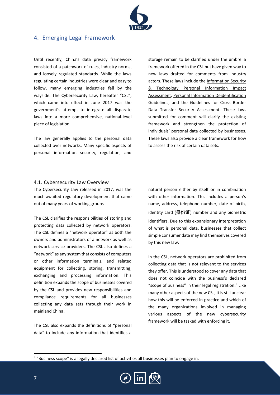

# <span id="page-6-0"></span>4. Emerging Legal Framework

Until recently, China's data privacy framework consisted of a patchwork of rules, industry norms, and loosely regulated standards. While the laws regulating certain industries were clear and easy to follow, many emerging industries fell by the wayside. The Cybersecurity Law, hereafter "CSL", which came into effect in June 2017 was the government's attempt to integrate all disparate laws into a more comprehensive, national-level piece of legislation.

The law generally applies to the personal data collected over networks. Many specific aspects of personal information security, regulation, and

storage remain to be clarified under the umbrella framework offered in the CSL but have given way to new laws drafted for comments from industry actors. These laws include th[e Information Security](https://www.newamerica.org/cybersecurity-initiative/digichina/blog/translation-principles-and-criteria-from-chinas-draft-privacy-impact-assessment-guide/)  [& Technology Personal Information Impact](https://www.newamerica.org/cybersecurity-initiative/digichina/blog/translation-principles-and-criteria-from-chinas-draft-privacy-impact-assessment-guide/)  [Assessment,](https://www.newamerica.org/cybersecurity-initiative/digichina/blog/translation-principles-and-criteria-from-chinas-draft-privacy-impact-assessment-guide/) [Personal Information Deidentification](https://www.bakermckenzie.com/en/insight/publications/2019/07/china-proposes-more-stringent-rules)  [Guidelines,](https://www.bakermckenzie.com/en/insight/publications/2019/07/china-proposes-more-stringent-rules) and the [Guidelines for Cross Border](https://www.insideprivacy.com/wp-content/uploads/sites/6/2019/06/Measures-for-Security-Assessment-of-the-Cross-Border-Transfer-of-Personal-Information_bilingual.pdf)  [Data Transfer Security Assessment.](https://www.insideprivacy.com/wp-content/uploads/sites/6/2019/06/Measures-for-Security-Assessment-of-the-Cross-Border-Transfer-of-Personal-Information_bilingual.pdf) These laws submitted for comment will clarify the existing framework and strengthen the protection of individuals' personal data collected by businesses. These laws also provide a clear framework for how to assess the risk of certain data sets.

## <span id="page-6-1"></span>4.1. Cybersecurity Law Overview

The Cybersecurity Law released in 2017, was the much-awaited regulatory development that came out of many years of working groups

The CSL clarifies the responsibilities of storing and protecting data collected by network operators. The CSL defines a "network operator" as both the owners and administrators of a network as well as network service providers. The CSL also defines a "network" as any system that consists of computers or other information terminals, and related equipment for collecting, storing, transmitting, exchanging and processing information. This definition expands the scope of businesses covered by the CSL and provides new responsibilities and compliance requirements for all businesses collecting any data sets through their work in mainland China.

The CSL also expands the definitions of "personal data" to include any information that identifies a

natural person either by itself or in combination with other information. This includes a person's name, address, telephone number, date of birth, identity card (身份证) number and any biometric identifiers. Due to this expansionary interpretation of what is personal data, businesses that collect simple consumer data may find themselves covered by this new law.

In the CSL, network operators are prohibited from collecting data that is not relevant to the services they offer. This is understood to cover any data that does not coincide with the business's declared "scope of business" in their legal registration.<sup>4</sup> Like many other aspects of the new CSL, it is still unclear how this will be enforced in practice and which of the many organizations involved in managing various aspects of the new cybersecurity framework will be tasked with enforcing it.

<sup>4</sup> "Business scope" is a legally declared list of activities all businesses plan to engage in.

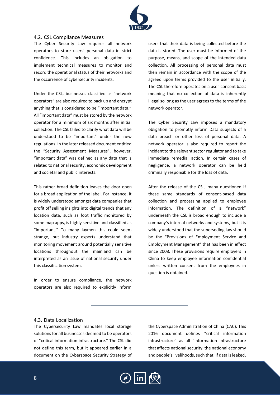

## <span id="page-7-0"></span>4.2. CSL Compliance Measures

The Cyber Security Law requires all network operators to store users' personal data in strict confidence. This includes an obligation to implement technical measures to monitor and record the operational status of their networks and the occurrence of cybersecurity incidents.

Under the CSL, businesses classified as "network operators" are also required to back up and encrypt anything that is considered to be "important data." All "important data" must be stored by the network operator for a minimum of six months after initial collection. The CSL failed to clarify what data will be understood to be "important" under the new regulations. In the later released document entitled the "Security Assessment Measures", however, "important data" was defined as any data that is related to national security, economic development and societal and public interests.

This rather broad definition leaves the door open for a broad application of the label. For instance, it is widely understood amongst data companies that profit off selling insights into digital trends that any location data, such as foot traffic monitored by some map apps, is highly sensitive and classified as "important." To many laymen this could seem strange, but industry experts understand that monitoring movement around potentially sensitive locations throughout the mainland can be interpreted as an issue of national security under this classification system.

In order to ensure compliance, the network operators are also required to explicitly inform

users that their data is being collected before the data is stored. The user must be informed of the purpose, means, and scope of the intended data collection. All processing of personal data must then remain in accordance with the scope of the agreed upon terms provided to the user initially. The CSL therefore operates on a user-consent basis meaning that no collection of data is inherently illegal so long as the user agrees to the terms of the network operator.

The Cyber Security Law imposes a mandatory obligation to promptly inform Data subjects of a data breach or other loss of personal data. A network operator is also required to report the incident to the relevant sector regulator and to take immediate remedial action. In certain cases of negligence, a network operator can be held criminally responsible for the loss of data.

After the release of the CSL, many questioned if these same standards of consent-based data collection and processing applied to employee information. The definition of a "network" underneath the CSL is broad enough to include a company's internal networks and systems, but it is widely understood that the superseding law should be the "Provisions of Employment Service and Employment Management" that has been in effect since 2008. These provisions require employers in China to keep employee information confidential unless written consent from the employees in question is obtained.

## <span id="page-7-1"></span>4.3. Data Localization

The Cybersecurity Law mandates local storage solutions for all businesses deemed to be operators of "critical information infrastructure." The CSL did not define this term, but it appeared earlier in a document on the Cyberspace Security Strategy of the Cyberspace Administration of China (CAC). This 2016 document defines "critical information infrastructure" as all "information infrastructure that affects national security, the national economy and people's livelihoods, such that, if data is leaked,

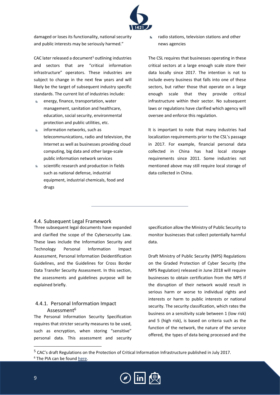

damaged or loses its functionality, national security and public interests may be seriously harmed."

CAC later released a document<sup>5</sup> outlining industries and sectors that are "critical information infrastructure" operators. These industries are subject to change in the next few years and will likely be the target of subsequent industry specific standards. The current list of industries include:

- $6<sup>-1</sup>$ energy, finance, transportation, water management, sanitation and healthcare, education, social security, environmental protection and public utilities, etc.
- $\Omega$  information networks, such as telecommunications, radio and television, the Internet as well as businesses providing cloud computing, big data and other large-scale public information network services
- $s$  scientific research and production in fields such as national defense, industrial equipment, industrial chemicals, food and drugs

 $\bullet$ radio stations, television stations and other news agencies

The CSL requires that businesses operating in these critical sectors at a large enough scale store their data locally since 2017. The intention is not to include every business that falls into one of these sectors, but rather those that operate on a large enough scale that they provide critical infrastructure within their sector. No subsequent laws or regulations have clarified which agency will oversee and enforce this regulation.

It is important to note that many industries had localization requirements prior to the CSL's passage in 2017. For example, financial personal data collected in China has had local storage requirements since 2011. Some industries not mentioned above may still require local storage of data collected in China.

## <span id="page-8-0"></span>4.4. Subsequent Legal Framework

Three subsequent legal documents have expanded and clarified the scope of the Cybersecurity Law. These laws include the Information Security and Technology Personal Information Impact Assessment, Personal Information Deidentification Guidelines, and the Guidelines for Cross Border Data Transfer Security Assessment. In this section, the assessments and guidelines purpose will be explained briefly.

# <span id="page-8-1"></span>4.4.1. Personal Information Impact Assessment<sup>6</sup>

The Personal Information Security Specification requires that stricter security measures to be used, such as encryption, when storing "sensitive" personal data. This assessment and security specification allow the Ministry of Public Security to monitor businesses that collect potentially harmful data.

Draft Ministry of Public Security (MPS) Regulations on the Graded Protection of Cyber Security (the MPS Regulation) released in June 2018 will require businesses to obtain certification from the MPS if the disruption of their network would result in serious harm or worse to individual rights and interests or harm to public interests or national security. The security classification, which rates the business on a sensitivity scale between 1 (low risk) and 5 (high risk), is based on criteria such as the function of the network, the nature of the service offered, the types of data being processed and the

<sup>&</sup>lt;sup>5</sup> CAC's draft Regulations on the Protection of Critical Information Infrastructure published in July 2017. <sup>6</sup> The PIA can be found [here.](http://www.gb688.cn/bzgk/gb/newGbInfo?hcno=4FFAA51D63BA21B9EE40C51DD3CC40BE)

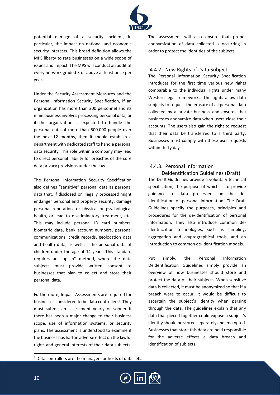

potential damage of a security incident, in particular, the impact on national and economic security interests. This broad definition allows the MPS liberty to rate businesses on a wide scope of issues and impact. The MPS will conduct an audit of every network graded 3 or above at least once per year.

Under the Security Assessment Measures and the Personal Information Security Specification, if an organization has more than 200 personnel and its main business involves processing personal data, or if the organization is expected to handle the personal data of more than 500,000 people over the next 12 months, then it should establish a department with dedicated staff to handle personal data security. This role within a company may lead to direct personal liability for breaches of the core data privacy provisions under the law.

The Personal Information Security Specification also defines "sensitive" personal data as personal data that, if disclosed or illegally processed might endanger personal and property security, damage personal reputation, or physical or psychological health, or lead to discriminatory treatment, etc. This may include personal ID card numbers, biometric data, bank account numbers, personal communications, credit records, geolocation data and health data, as well as the personal data of children under the age of 14 years. This standard requires an "opt-in" method, where the data subjects must provide written consent to businesses that plan to collect and store their personal data.

Furthermore, Impact Assessments are required for businesses considered to be data controllers<sup>7</sup>. They must submit an assessment yearly or sooner if there has been a major change to their business scope, use of information systems, or security plans. The assessment is understood to examine if the business has had an adverse effect on the lawful rights and general interests of their data subjects.

The assessment will also ensure that proper anonymization of data collected is occurring in order to protect the identities of the subjects.

### <span id="page-9-0"></span>4.4.2. New Rights of Data Subject

The Personal Information Security Specification introduces for the first time various new rights comparable to the individual rights under many Western legal frameworks. The rights allow data subjects to request the erasure of all personal data collected by a private business and ensures that businesses anonymize data when users close their accounts. The users also gain the right to request that their data be transferred to a third party. Businesses must comply with these user requests within thirty days.

# <span id="page-9-1"></span>4.4.3. Personal Information

Deidentification Guidelines (Draft) The Draft Guidelines provide a voluntary technical specification, the purpose of which is to provide guidance to data processers on the deidentification of personal information. The Draft Guidelines specify the purposes, principles and procedures for the de-identification of personal information. They also introduce common deidentification technologies, such as sampling, aggregation and cryptographical tools, and an introduction to common de-identification models.

Put simply, the Personal Information Deidentification Guidelines simply provide an overview of how businesses should store and protect the data of their subjects. When sensitive data is collected, it must be anonymized so that if a breach were to occur, it would be difficult to ascertain the subject's identity when parsing through the data. The guidelines explain that any data that pieced together could expose a subject's identity should be stored separately and encrypted. Businesses that store this data are held responsible for the adverse effects a data breach and identification of subjects.

<sup>7</sup> Data controllers are the managers or hosts of data sets.

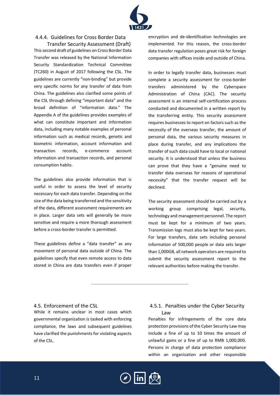

# <span id="page-10-0"></span>4.4.4. Guidelines for Cross Border Data

Transfer Security Assessment (Draft) This second draft of guidelines on Cross Border Data Transfer was released by the National Information Security Standardization Technical Committee (TC260) in August of 2017 following the CSL. The guidelines are currently "non-binding" but provide very specific norms for any transfer of data from China. The guidelines also clarified some points of the CSL through defining "important data" and the broad definition of "information data." The Appendix A of the guidelines provides examples of what can constitute important and information data, including many notable examples of personal information such as medical records, genetic and biometric information, account information and transaction records, e-commerce account information and transaction records, and personal consumption habits.

The guidelines also provide information that is useful in order to assess the level of security necessary for each data transfer. Depending on the size of the data being transferred and the sensitivity of the data, different assessment requirements are in place. Larger data sets will generally be more sensitive and require a more thorough assessment before a cross-border transfer is permitted.

These guidelines define a "data transfer" as any movement of personal data outside of China. The guidelines specify that even remote access to data stored in China are data transfers even if proper

encryption and de-identification technologies are implemented. For this reason, the cross-border data transfer regulation poses great risk for foreign companies with offices inside and outside of China.

In order to legally transfer data, businesses must complete a security assessment for cross-border transfers administered by the Cyberspace Administration of China (CAC). The security assessment is an internal self-certification process conducted and documented in a written report by the transferring entity. This security assessment requires businesses to report on factors such as the necessity of the overseas transfer, the amount of personal data, the various security measures in place during transfer, and any implications the transfer of such data could have to local or national security. It is understood that unless the business can prove that they have a "genuine need to transfer data overseas for reasons of operational necessity" that the transfer request will be declined.

The security assessment should be carried out by a working group comprising legal, security, technology and management personnel. The report must be kept for a minimum of two years. Transmission logs must also be kept for two years. For large transfers, data sets including personal information of 500,000 people or data sets larger than 1,000GB, all network operators are required to submit the security assessment report to the relevant authorities before making the transfer.

## <span id="page-10-1"></span>4.5. Enforcement of the CSL

While it remains unclear in most cases which governmental organization is tasked with enforcing compliance, the laws and subsequent guidelines have clarified the punishments for violating aspects of the CSL.

# <span id="page-10-2"></span>4.5.1. Penalties under the Cyber Security Law

Penalties for infringements of the core data protection provisions of the Cyber Security Law may include a fine of up to 10 times the amount of unlawful gains or a fine of up to RMB 1,000,000. Persons in charge of data protection compliance within an organization and other responsible

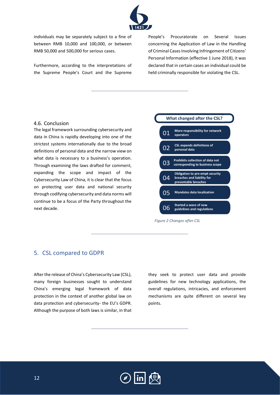

individuals may be separately subject to a fine of between RMB 10,000 and 100,000, or between RMB 50,000 and 500,000 for serious cases.

Furthermore, according to the interpretations of the Supreme People's Court and the Supreme

People's Procuratorate on Several Issues concerning the Application of Law in the Handling of Criminal Cases Involving Infringement of Citizens' Personal Information (effective 1 June 2018), it was declared that in certain cases an individual could be held criminally responsible for violating the CSL.

#### <span id="page-11-0"></span>4.6. Conclusion

The legal framework surrounding cybersecurity and data in China is rapidly developing into one of the strictest systems internationally due to the broad definitions of personal data and the narrow view on what data is necessary to a business's operation. Through examining the laws drafted for comment, expanding the scope and impact of the Cybersecurity Law of China, it is clear that the focus on protecting user data and national security through codifying cybersecurity and data norms will continue to be a focus of the Party throughout the next decade.

#### What changed after the CSL? More responsibility for network 01 operators **CSL expands definitions of** 02 personal data Prohibits collection of data not  $0<sup>3</sup>$ corresponding to business scope **Obligation to pre-empt security** 04 breaches and liability for preventable breaches 05 **Mandates data localization** Started a wave of new 06 guidelines and regulations

*Figure 2 Changes after CSL*

# <span id="page-11-1"></span>5. CSL compared to GDPR

<span id="page-11-2"></span>After the release of China's Cybersecurity Law (CSL), many foreign businesses sought to understand China's emerging legal framework of data protection in the context of another global law on data protection and cybersecurity- the EU's GDPR. Although the purpose of both laws is similar, in that

they seek to protect user data and provide guidelines for new technology applications, the overall regulations, intricacies, and enforcement mechanisms are quite different on several key points.

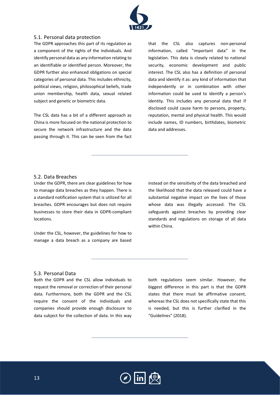

# 5.1. Personal data protection

The GDPR approaches this part of its regulation as a component of the rights of the individuals. And identify personal data as any information relating to an identifiable or identified person. Moreover, the GDPR further also enhanced obligations on special categories of personal data. This includes ethnicity, political views, religion, philosophical beliefs, trade union membership, health data, sexual related subject and genetic or biometric data.

The CSL data has a bit of a different approach as China is more focused on the national protection to secure the network infrastructure and the data passing through it. This can be seen from the fact that the CSL also captures non-personal information, called "important data" in the legislation. This data is closely related to national security, economic development and public interest. The CSL also has a definition of personal data and identify it as: any kind of information that independently or in combination with other information could be used to identify a person's identity. This includes any personal data that if disclosed could cause harm to persons, property, reputation, mental and physical health. This would include names, ID numbers, birthdates, biometric data and addresses.

### <span id="page-12-0"></span>5.2. Data Breaches

Under the GDPR, there are clear guidelines for how to manage data breaches as they happen. There is a standard notification system that is utilized for all breaches. GDPR encourages but does not require businesses to store their data in GDPR-compliant locations.

Under the CSL, however, the guidelines for how to manage a data breach as a company are based

instead on the sensitivity of the data breached and the likelihood that the data released could have a substantial negative impact on the lives of those whose data was illegally accessed. The CSL safeguards against breaches by providing clear standards and regulations on storage of all data within China.

#### <span id="page-12-1"></span>5.3. Personal Data

Both the GDPR and the CSL allow individuals to request the removal or correction of their personal data. Furthermore, both the GDPR and the CSL require the consent of the individuals and companies should provide enough disclosure to data subject for the collection of data. In this way

both regulations seem similar. However, the biggest difference in this part is that the GDPR states that there must be affirmative consent, whereas the CSL does not specifically state that this is needed, but this is further clarified in the "Guidelines" (2018).

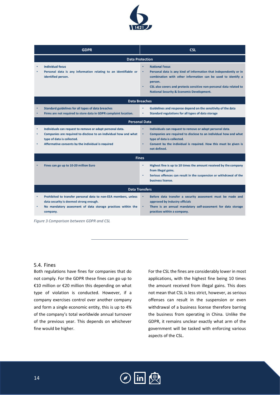

|                        | <b>GDPR</b>                                                                                                                                                                                                       | <b>CSL</b>                                                                                                                                                                                                                                                                                                     |  |  |  |
|------------------------|-------------------------------------------------------------------------------------------------------------------------------------------------------------------------------------------------------------------|----------------------------------------------------------------------------------------------------------------------------------------------------------------------------------------------------------------------------------------------------------------------------------------------------------------|--|--|--|
| <b>Data Protection</b> |                                                                                                                                                                                                                   |                                                                                                                                                                                                                                                                                                                |  |  |  |
|                        | <b>Individual focus</b><br>Personal data is any information relating to an identifiable or<br>identified person.                                                                                                  | <b>National Focus</b><br>Personal data is any kind of information that independently or in<br>٠<br>combination with other information can be used to identify a<br>person.<br>CSL also covers and protects sensitive non-personal data related to<br>٠<br><b>National Security &amp; Economic Development.</b> |  |  |  |
| <b>Data Breaches</b>   |                                                                                                                                                                                                                   |                                                                                                                                                                                                                                                                                                                |  |  |  |
|                        | Standard guidelines for all types of data breaches<br>Firms are not required to store data in GDPR complaint location.                                                                                            | Guidelines and response depend on the sensitivity of the data<br>٠<br>Standard regulations for all types of data storage<br>٠                                                                                                                                                                                  |  |  |  |
|                        | <b>Personal Data</b>                                                                                                                                                                                              |                                                                                                                                                                                                                                                                                                                |  |  |  |
| ٠<br>٠                 | Individuals can request to remove or adapt personal data.<br>Companies are required to disclose to an individual how and what<br>type of data is collected.<br>Affermative consents by the individual is required | ٠<br>Individuals can request to remove or adapt personal data.<br>Companies are required to disclose to an individual how and what<br>٠<br>type of data is collected.<br>Consent by the individual is required. How this must be given is<br>٠<br>not defined.                                                 |  |  |  |
| <b>Fines</b>           |                                                                                                                                                                                                                   |                                                                                                                                                                                                                                                                                                                |  |  |  |
|                        | Fines can go up to 10-20 million Euro                                                                                                                                                                             | Highest fine is up to 10 times the amount received by the company<br>٠<br>from illegal gains.<br>Serious offences can result in the suspension or withdrawal of the<br>٠<br>business license.                                                                                                                  |  |  |  |
| <b>Data Transfers</b>  |                                                                                                                                                                                                                   |                                                                                                                                                                                                                                                                                                                |  |  |  |
| ٠                      | Prohibited to transfer personal data to non-EEA members, unless<br>data security is deemed strong enough.<br>No mandatory assesment of data storage practices within the<br>company.                              | Before data transfer a security assesment must be made and<br>٠<br>approved by industry officials<br>There is an annual mandatory self-assesment for data storage<br>practices within a company.                                                                                                               |  |  |  |

*Figure 3 Comparison between GDPR and CSL*

# <span id="page-13-0"></span>5.4. Fines

Both regulations have fines for companies that do not comply. For the GDPR these fines can go up to €10 million or €20 million this depending on what type of violation is conducted. However, if a company exercises control over another company and form a single economic entity, this is up to 4% of the company's total worldwide annual turnover of the previous year. This depends on whichever fine would be higher.

For the CSL the fines are considerably lower in most applications, with the highest fine being 10 times the amount received from illegal gains. This does not mean that CSL is less strict, however, as serious offenses can result in the suspension or even withdrawal of a business license therefore barring the business from operating in China. Unlike the GDPR, it remains unclear exactly what arm of the government will be tasked with enforcing various aspects of the CSL.

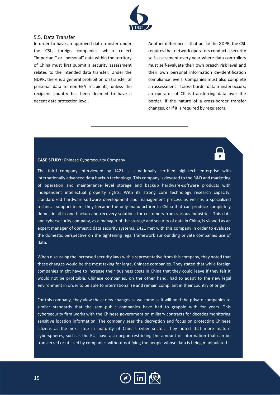

### <span id="page-14-0"></span>5.5. Data Transfer

In order to have an approved data transfer under the CSL, foreign companies which collect "important" or "personal" data within the territory of China must first submit a security assessment related to the intended data transfer. Under the GDPR, there is a general prohibition on transfer of personal data to non-EEA recipients, unless the recipient country has been deemed to have a decent data protection level.

Another difference is that unlike the GDPR, the CSL requires that network operators conduct a security self-assessment every year where data controllers must self-evaluate their own breach risk level and their own personal information de-identification compliance levels. Companies must also complete an assessment if cross-border data transfer occurs, an operator of CII is transferring data over the border, if the nature of a cross-border transfer changes, or if it is required by regulators.

#### **CASE STUDY:** Chinese Cybersecurity Company

The third company interviewed by 1421 is a nationally certified high-tech enterprise with internationally advanced data backup technology. This company is devoted to the R&D and marketing of operation and maintenance level storage and backup hardware-software products with independent intellectual property rights. With its strong core technology research capacity, standardized hardware-software development and management process as well as a specialized technical support team, they became the only manufacturer in China that can produce completely domestic all-in-one backup and recovery solutions for customers from various industries. This data and cybersecurity company, as a manager of the storage and security of data in China, is viewed as an expert manager of domestic data security systems. 1421 met with this company in order to evaluate the domestic perspective on the tightening legal framework surrounding private companies use of data.

When discussing the increased security laws with a representative from this company, they noted that these changes would be the most taxing for large, Chinese companies. They stated that while foreign companies might have to increase their business costs in China that they could leave if they felt it would not be profitable. Chinese companies, on the other hand, had to adapt to the new legal environment in order to be able to internationalize and remain compliant in their country of origin.

For this company, they view these new changes as welcome as it will hold the private companies to similar standards that the semi-public companies have had to grapple with for years. This cybersecurity firm works with the Chinese government on military contracts for decades monitoring sensitive location information. The company sees the decryption and focus on protecting Chinese citizens as the next step in maturity of China's cyber sector. They noted that more mature cyberspheres, such as the EU, have also begun restricting the amount of information that can be transferred or utilized by companies without notifying the people whose data is being manipulated.

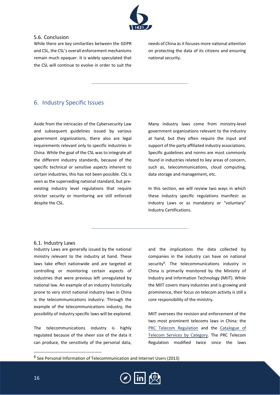

# <span id="page-15-0"></span>5.6. Conclusion

While there are key similarities between the GDPR and CSL, the CSL's overall enforcement mechanisms remain much opaquer. It is widely speculated that the CSL will continue to evolve in order to suit the needs of China as it focuses more national attention on protecting the data of its citizens and ensuring national security.

# <span id="page-15-1"></span>6. Industry Specific Issues

Aside from the intricacies of the Cybersecurity Law and subsequent guidelines issued by various government organizations, there also are legal requirements relevant only to specific industries in China. While the goal of the CSL was to integrate all the different industry standards, because of the specific technical or sensitive aspects inherent to certain industries, this has not been possible. CSL is seen as the superseding national standard, but preexisting industry level regulations that require stricter security or monitoring are still enforced despite the CSL.

Many industry laws come from ministry-level government organizations relevant to the industry at hand, but they often require the input and support of the party affiliated industry associations. Specific guidelines and norms are most commonly found in industries related to key areas of concern, such as, telecommunications, cloud computing, data storage and management, etc.

In this section, we will review two ways in which these industry specific regulations manifest: as Industry Laws or as mandatory or "voluntary" Industry Certifications.

## <span id="page-15-2"></span>6.1. Industry Laws

Industry Laws are generally issued by the national ministry relevant to the industry at hand. These laws take effect nationwide and are targeted at controlling or monitoring certain aspects of industries that were previous left unregulated by national law. An example of an industry historically prone to very strict national industry laws in China is the telecommunications industry. Through the example of the telecommunications industry, the possibility of industry specific laws will be explored.

The telecommunications industry is highly regulated because of the sheer size of the data it can produce, the sensitivity of the personal data,

and the implications the data collected by companies in the industry can have on national security<sup>8</sup>. The telecommunications industry in China is primarily monitored by the Ministry of Industry and Information Technology (MIIT). While the MIIT covers many industries and is growing and prominence, their focus on telecom activity is still a core responsibility of the ministry.

MIIT oversees the revision and enforcement of the two most prominent telecoms laws in China: the [PRC Telecom Regulation](http://www.miit.gov/n1146295/n1146557/c3072880/content.html) and the Catalogue of [Telecom Services by Category.](http://www.miit.gov/n1146285/n1146352/n3054355/n3057709/n3057716/c4564270/content.html) The PRC Telecom Regulation modified twice since the laws

<sup>&</sup>lt;sup>8</sup> See Personal Information of Telecommunication and Internet Users (2013)

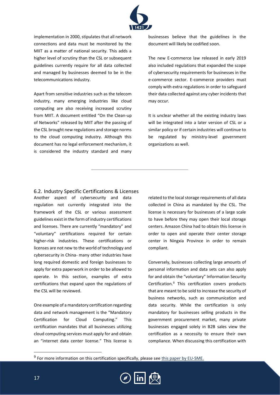

implementation in 2000, stipulates that all network connections and data must be monitored by the MIIT as a matter of national security. This adds a higher level of scrutiny than the CSL or subsequent guidelines currently require for all data collected and managed by businesses deemed to be in the telecommunications industry.

Apart from sensitive industries such as the telecom industry, many emerging industries like cloud computing are also receiving increased scrutiny from MIIT. A document entitled "On the Clean-up of Networks" released by MIIT after the passing of the CSL brought new regulations and storage norms to the cloud computing industry. Although this document has no legal enforcement mechanism, it is considered the industry standard and many

businesses believe that the guidelines in the document will likely be codified soon.

The new E-commerce law released in early 2019 also included regulations that expanded the scope of cybersecurity requirements for businesses in the e-commerce sector. E-commerce providers must comply with extra regulations in order to safeguard their data collected against any cyber incidents that may occur.

It is unclear whether all the existing industry laws will be integrated into a later version of CSL or a similar policy or if certain industries will continue to be regulated by ministry-level government organizations as well.

<span id="page-16-0"></span>6.2. Industry Specific Certifications & Licenses Another aspect of cybersecurity and data regulation not currently integrated into the framework of the CSL or various assessment guidelines exist in the form of industry certifications and licenses. There are currently "mandatory" and "voluntary" certifications required for certain higher-risk industries. These certifications or licenses are not new to the world of technology and cybersecurity in China- many other industries have long required domestic and foreign businesses to apply for extra paperwork in order to be allowed to operate. In this section, examples of extra certifications that expand upon the regulations of the CSL will be reviewed.

One example of a mandatory certification regarding data and network management is the "Mandatory Certification for Cloud Computing." This certification mandates that all businesses utilizing cloud computing services must apply for and obtain an "internet data center license." This license is related to the local storage requirements of all data collected in China as mandated by the CSL. The license is necessary for businesses of a large scale to have before they may open their local storage centers. Amazon China had to obtain this license in order to open and operate their center storage center in Ningxia Province in order to remain compliant.

Conversely, businesses collecting large amounts of personal information and data sets can also apply for and obtain the "voluntary" Information Security Certification. <sup>9</sup> This certification covers products that are meant to be sold to increase the security of business networks, such as communication and data security. While the certification is only mandatory for businesses selling products in the government procurement market, many private businesses engaged solely in B2B sales view the certification as a necessity to ensure their own compliance. When discussing this certification with

<sup>&</sup>lt;sup>9</sup> For more information on this certification specifically, please se[e this paper by EU-SME.](http://203.187.160.132:9011/ccilc.pt/c3pr90ntc0td/wp-content/uploads/2017/07/CC-IS_CHINA_CERTIFICATION_OF_INFORMATION_SECURITY_EN_EUSMECENTER.pdf)

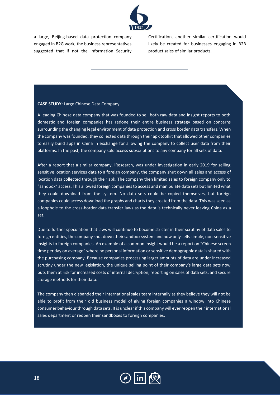

a large, Beijing-based data protection company engaged in B2G work, the business representatives suggested that if not the Information Security

Certification, another similar certification would likely be created for businesses engaging in B2B product sales of similar products.

#### **CASE STUDY:** Large Chinese Data Company

A leading Chinese data company that was founded to sell both raw data and insight reports to both domestic and foreign companies has redone their entire business strategy based on concerns surrounding the changing legal environment of data protection and cross border data transfers. When the company was founded, they collected data through their apk toolkit that allowed other companies to easily build apps in China in exchange for allowing the company to collect user data from their platforms. In the past, the company sold access subscriptions to any company for all sets of data.

After a report that a similar company, iResearch, was under investigation in early 2019 for selling sensitive location services data to a foreign company, the company shut down all sales and access of location data collected through their apk. The company then limited sales to foreign company only to "sandbox" access. This allowed foreign companies to access and manipulate data sets but limited what they could download from the system. No data sets could be copied themselves, but foreign companies could access download the graphs and charts they created from the data. This was seen as a loophole to the cross-border data transfer laws as the data is technically never leaving China as a set.

Due to further speculation that laws will continue to become stricter in their scrutiny of data sales to foreign entities, the company shut down their sandbox system and now only sells simple, non-sensitive insights to foreign companies. An example of a common insight would be a report on "Chinese screen time per day on average" where no personal information or sensitive demographic data is shared with the purchasing company. Because companies processing larger amounts of data are under increased scrutiny under the new legislation, the unique selling point of their company's large data sets now puts them at risk for increased costs of internal decryption, reporting on sales of data sets, and secure storage methods for their data.

The company then disbanded their international sales team internally as they believe they will not be able to profit from their old business model of giving foreign companies a window into Chinese consumer behaviour through data sets. It is unclear if this company will ever reopen their international sales department or reopen their sandboxes to foreign companies.

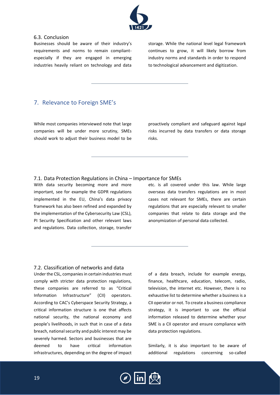

# <span id="page-18-0"></span>6.3. Conclusion

Businesses should be aware of their industry's requirements and norms to remain compliantespecially if they are engaged in emerging industries heavily reliant on technology and data storage. While the national level legal framework continues to grow, it will likely borrow from industry norms and standards in order to respond to technological advancement and digitization.

# <span id="page-18-1"></span>7. Relevance to Foreign SME's

While most companies interviewed note that large companies will be under more scrutiny, SMEs should work to adjust their business model to be

proactively compliant and safeguard against legal risks incurred by data transfers or data storage risks.

# <span id="page-18-2"></span>7.1. Data Protection Regulations in China – Importance for SMEs

With data security becoming more and more important, see for example the GDPR regulations implemented in the EU, China's data privacy framework has also been refined and expanded by the implementation of the Cybersecurity Law (CSL), PI Security Specification and other relevant laws and regulations. Data collection, storage, transfer

etc. is all covered under this law. While large overseas data transfers regulations are in most cases not relevant for SMEs, there are certain regulations that are especially relevant to smaller companies that relate to data storage and the anonymization of personal data collected.

# <span id="page-18-3"></span>7.2. Classification of networks and data

Under the CSL, companies in certain industries must comply with stricter data protection regulations, these companies are referred to as "Critical Information Infrastructure" (CII) operators. According to CAC's Cyberspace Security Strategy, a critical information structure is one that affects national security, the national economy and people's livelihoods, in such that in case of a data breach, national security and public interest may be severely harmed. Sectors and businesses that are deemed to have critical information infrastructures, depending on the degree of impact

of a data breach, include for example energy, finance, healthcare, education, telecom, radio, television, the internet etc. However, there is no exhaustive list to determine whether a business is a CII operator or not. To create a business compliance strategy, it is important to use the official information released to determine whether your SME is a CII operator and ensure compliance with data protection regulations.

Similarly, it is also important to be aware of additional regulations concerning so-called

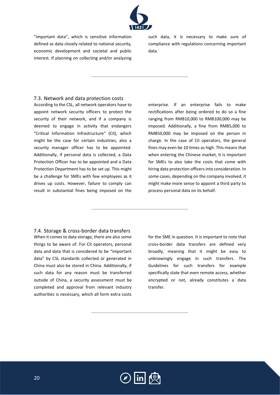

"important data", which is sensitive information defined as data closely related to national security, economic development and societal and public interest. If planning on collecting and/or analyzing

such data, it is necessary to make sure of compliance with regulations concerning important data.

## <span id="page-19-0"></span>7.3. Network and data protection costs

According to the CSL, all network operators have to appoint network security officers to protect the security of their network, and if a company is deemed to engage in activity that endangers "Critical Information Infrastructure" (CII), which might be the case for certain industries, also a security manager officer has to be appointed. Additionally, if personal data is collected, a Data Protection Officer has to be appointed and a Data Protection Department has to be set up. This might be a challenge for SMEs with few employees as it drives up costs. However, failure to comply can result in substantial fines being imposed on the

enterprise. If an enterprise fails to make rectifications after being ordered to do so a fine ranging from RMB10,000 to RMB100,000 may be imposed. Additionally, a fine from RMB5,000 to RMB50,000 may be imposed on the person in charge. In the case of CII operators, the general fines may even be 10 times as high. This means that when entering the Chinese market, it is important for SMEs to also take the costs that come with hiring data protection officers into consideration. In some cases, depending on the company involved, it might make more sense to appoint a third party to process personal data on its behalf.

<span id="page-19-1"></span>7.4. Storage & cross-border data transfers When it comes to data storage, there are also some things to be aware of. For CII operators, personal data and data that is considered to be "important data" by CSL standards collected or generated in China must also be stored in China. Additionally, if such data for any reason must be transferred outside of China, a security assessment must be completed and approval from relevant industry authorities is necessary, which all form extra costs

for the SME in question. It is important to note that cross-border data transfers are defined very broadly, meaning that it might be easy to unknowingly engage in such transfers. The Guidelines for such transfers for example specifically state that even remote access, whether encrypted or not, already constitutes a data transfer.

<span id="page-19-2"></span>